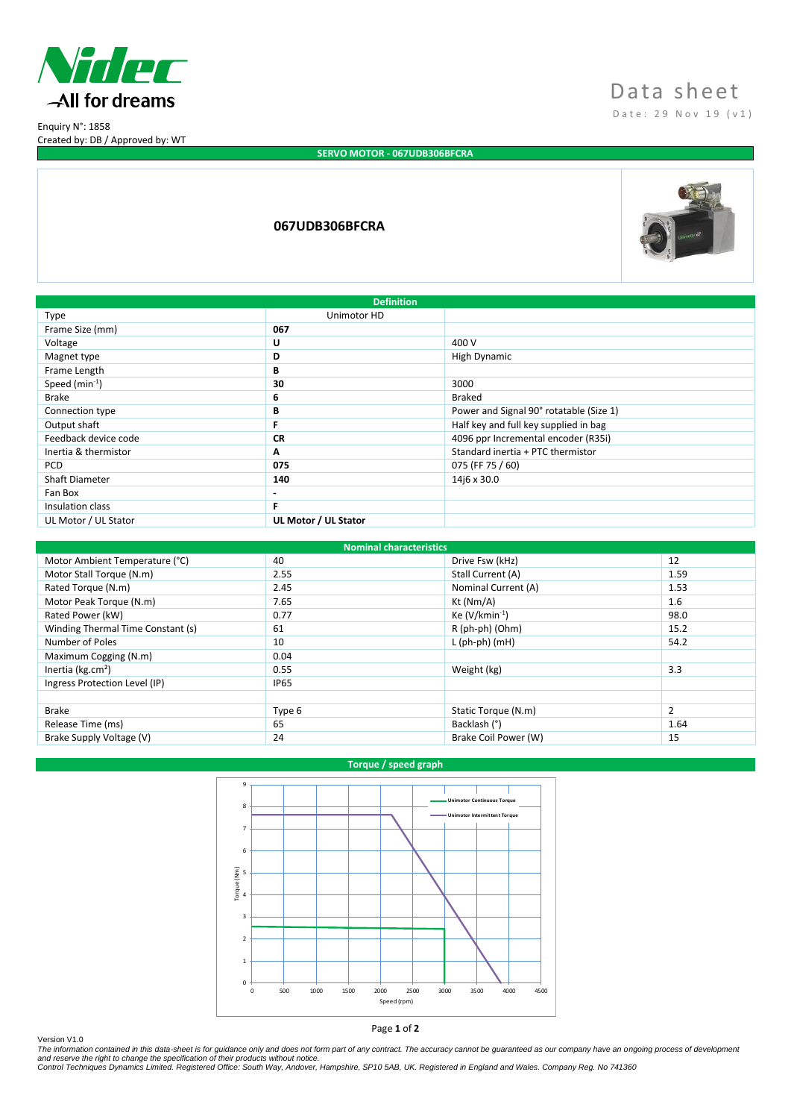

Enquiry N°: 1858 Created by: DB / Approved by: WT

# Data sheet D a t e : 2 9 Nov 1 9 ( v 1 )

## **SERVO MOTOR - 067UDB306BFCRA**

## **067UDB306BFCRA**



| <b>Definition</b>     |                          |                                         |  |  |
|-----------------------|--------------------------|-----------------------------------------|--|--|
| Type                  | Unimotor HD              |                                         |  |  |
| Frame Size (mm)       | 067                      |                                         |  |  |
| Voltage               | U                        | 400 V                                   |  |  |
| Magnet type           | D                        | High Dynamic                            |  |  |
| Frame Length          | В                        |                                         |  |  |
| Speed $(min^{-1})$    | 30                       | 3000                                    |  |  |
| <b>Brake</b>          | 6                        | Braked                                  |  |  |
| Connection type       | B                        | Power and Signal 90° rotatable (Size 1) |  |  |
| Output shaft          | F                        | Half key and full key supplied in bag   |  |  |
| Feedback device code  | <b>CR</b>                | 4096 ppr Incremental encoder (R35i)     |  |  |
| Inertia & thermistor  | A                        | Standard inertia + PTC thermistor       |  |  |
| <b>PCD</b>            | 075                      | 075 (FF 75 / 60)                        |  |  |
| <b>Shaft Diameter</b> | 140                      | 14j6 x 30.0                             |  |  |
| Fan Box               | $\overline{\phantom{0}}$ |                                         |  |  |
| Insulation class      | F                        |                                         |  |  |
| UL Motor / UL Stator  | UL Motor / UL Stator     |                                         |  |  |

| <b>Nominal characteristics</b>    |             |                      |                |  |  |
|-----------------------------------|-------------|----------------------|----------------|--|--|
| Motor Ambient Temperature (°C)    | 40          | Drive Fsw (kHz)      | 12             |  |  |
| Motor Stall Torque (N.m)          | 2.55        | Stall Current (A)    | 1.59           |  |  |
| Rated Torque (N.m)                | 2.45        | Nominal Current (A)  | 1.53           |  |  |
| Motor Peak Torque (N.m)           | 7.65        | Kt (Nm/A)            | 1.6            |  |  |
| Rated Power (kW)                  | 0.77        | Ke $(V/kmin^{-1})$   | 98.0           |  |  |
| Winding Thermal Time Constant (s) | 61          | R (ph-ph) (Ohm)      | 15.2           |  |  |
| Number of Poles                   | 10          | $L$ (ph-ph) (mH)     | 54.2           |  |  |
| Maximum Cogging (N.m)             | 0.04        |                      |                |  |  |
| Inertia ( $kg.cm2$ )              | 0.55        | Weight (kg)          | 3.3            |  |  |
| Ingress Protection Level (IP)     | <b>IP65</b> |                      |                |  |  |
|                                   |             |                      |                |  |  |
| <b>Brake</b>                      | Type 6      | Static Torque (N.m)  | $\overline{2}$ |  |  |
| Release Time (ms)                 | 65          | Backlash (°)         | 1.64           |  |  |
| Brake Supply Voltage (V)          | 24          | Brake Coil Power (W) | 15             |  |  |

### **Torque / speed graph**



Version V1.0<br>The information contained in this data-sheet is for guidance only and does not form part of any contract. The accuracy cannot be guaranteed as our company have an ongoing process of development<br>and reserve the